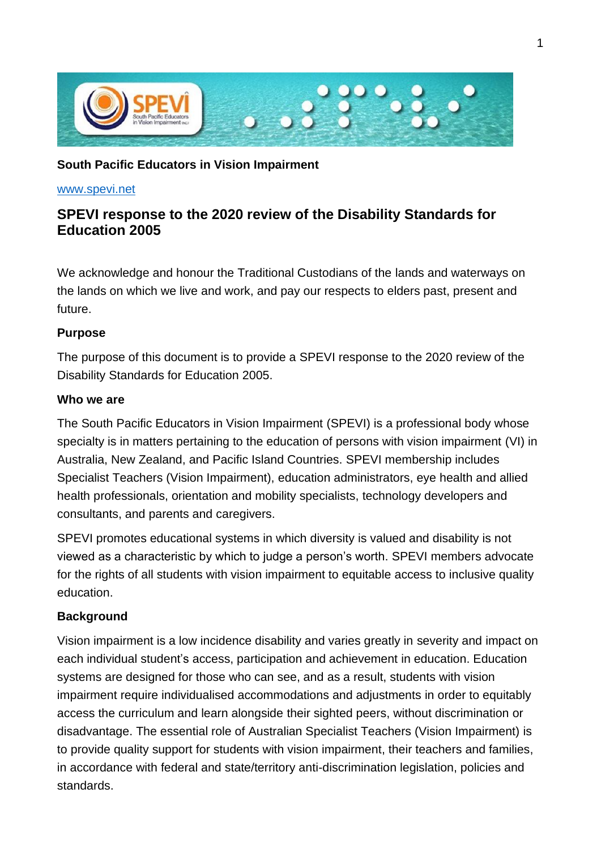

### **South Pacific Educators in Vision Impairment**

#### [www.spevi.net](http://www.spevi.net/)

# **SPEVI response to the 2020 review of the Disability Standards for Education 2005**

We acknowledge and honour the Traditional Custodians of the lands and waterways on the lands on which we live and work, and pay our respects to elders past, present and future.

#### **Purpose**

The purpose of this document is to provide a SPEVI response to the 2020 review of the Disability Standards for Education 2005.

#### **Who we are**

The South Pacific Educators in Vision Impairment (SPEVI) is a professional body whose specialty is in matters pertaining to the education of persons with vision impairment (VI) in Australia, New Zealand, and Pacific Island Countries. SPEVI membership includes Specialist Teachers (Vision Impairment), education administrators, eye health and allied health professionals, orientation and mobility specialists, technology developers and consultants, and parents and caregivers.

SPEVI promotes educational systems in which diversity is valued and disability is not viewed as a characteristic by which to judge a person's worth. SPEVI members advocate for the rights of all students with vision impairment to equitable access to inclusive quality education.

### **Background**

Vision impairment is a low incidence disability and varies greatly in severity and impact on each individual student's access, participation and achievement in education. Education systems are designed for those who can see, and as a result, students with vision impairment require individualised accommodations and adjustments in order to equitably access the curriculum and learn alongside their sighted peers, without discrimination or disadvantage. The essential role of Australian Specialist Teachers (Vision Impairment) is to provide quality support for students with vision impairment, their teachers and families, in accordance with federal and state/territory anti-discrimination legislation, policies and standards.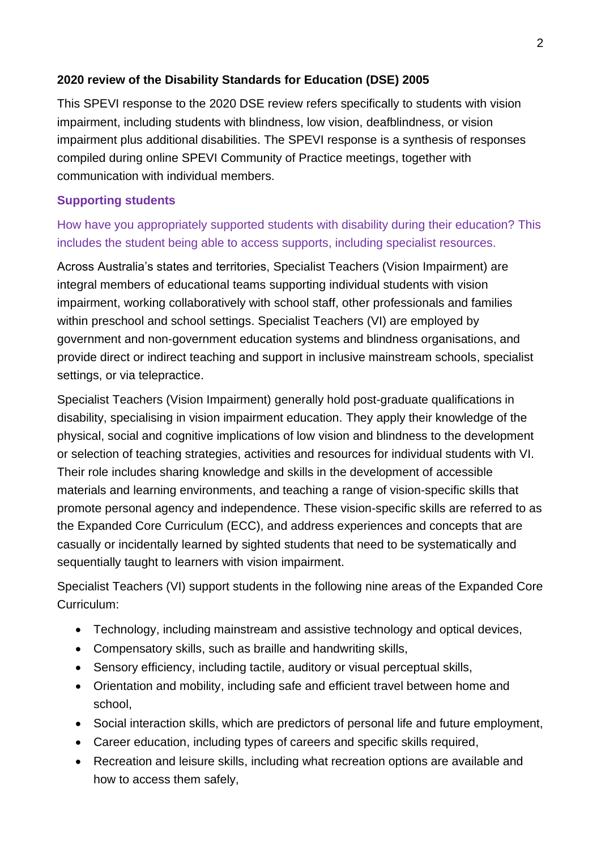# **2020 review of the Disability Standards for Education (DSE) 2005**

This SPEVI response to the 2020 DSE review refers specifically to students with vision impairment, including students with blindness, low vision, deafblindness, or vision impairment plus additional disabilities. The SPEVI response is a synthesis of responses compiled during online SPEVI Community of Practice meetings, together with communication with individual members.

## **Supporting students**

# How have you appropriately supported students with disability during their education? This includes the student being able to access supports, including specialist resources.

Across Australia's states and territories, Specialist Teachers (Vision Impairment) are integral members of educational teams supporting individual students with vision impairment, working collaboratively with school staff, other professionals and families within preschool and school settings. Specialist Teachers (VI) are employed by government and non-government education systems and blindness organisations, and provide direct or indirect teaching and support in inclusive mainstream schools, specialist settings, or via telepractice.

Specialist Teachers (Vision Impairment) generally hold post-graduate qualifications in disability, specialising in vision impairment education. They apply their knowledge of the physical, social and cognitive implications of low vision and blindness to the development or selection of teaching strategies, activities and resources for individual students with VI. Their role includes sharing knowledge and skills in the development of accessible materials and learning environments, and teaching a range of vision-specific skills that promote personal agency and independence. These vision-specific skills are referred to as the Expanded Core Curriculum (ECC), and address experiences and concepts that are casually or incidentally learned by sighted students that need to be systematically and sequentially taught to learners with vision impairment.

Specialist Teachers (VI) support students in the following nine areas of the Expanded Core Curriculum:

- Technology, including mainstream and assistive technology and optical devices,
- Compensatory skills, such as braille and handwriting skills,
- Sensory efficiency, including tactile, auditory or visual perceptual skills,
- Orientation and mobility, including safe and efficient travel between home and school,
- Social interaction skills, which are predictors of personal life and future employment,
- Career education, including types of careers and specific skills required,
- Recreation and leisure skills, including what recreation options are available and how to access them safely,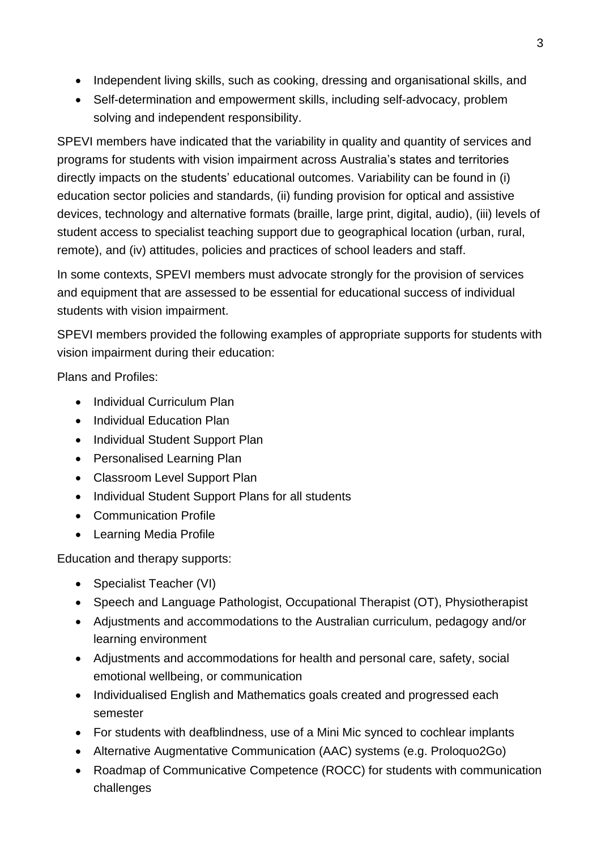- Independent living skills, such as cooking, dressing and organisational skills, and
- Self-determination and empowerment skills, including self-advocacy, problem solving and independent responsibility.

SPEVI members have indicated that the variability in quality and quantity of services and programs for students with vision impairment across Australia's states and territories directly impacts on the students' educational outcomes. Variability can be found in (i) education sector policies and standards, (ii) funding provision for optical and assistive devices, technology and alternative formats (braille, large print, digital, audio), (iii) levels of student access to specialist teaching support due to geographical location (urban, rural, remote), and (iv) attitudes, policies and practices of school leaders and staff.

In some contexts, SPEVI members must advocate strongly for the provision of services and equipment that are assessed to be essential for educational success of individual students with vision impairment.

SPEVI members provided the following examples of appropriate supports for students with vision impairment during their education:

Plans and Profiles:

- Individual Curriculum Plan
- Individual Education Plan
- Individual Student Support Plan
- Personalised Learning Plan
- Classroom Level Support Plan
- Individual Student Support Plans for all students
- Communication Profile
- Learning Media Profile

Education and therapy supports:

- Specialist Teacher (VI)
- Speech and Language Pathologist, Occupational Therapist (OT), Physiotherapist
- Adjustments and accommodations to the Australian curriculum, pedagogy and/or learning environment
- Adjustments and accommodations for health and personal care, safety, social emotional wellbeing, or communication
- Individualised English and Mathematics goals created and progressed each semester
- For students with deafblindness, use of a Mini Mic synced to cochlear implants
- Alternative Augmentative Communication (AAC) systems (e.g. Proloquo2Go)
- Roadmap of Communicative Competence (ROCC) for students with communication challenges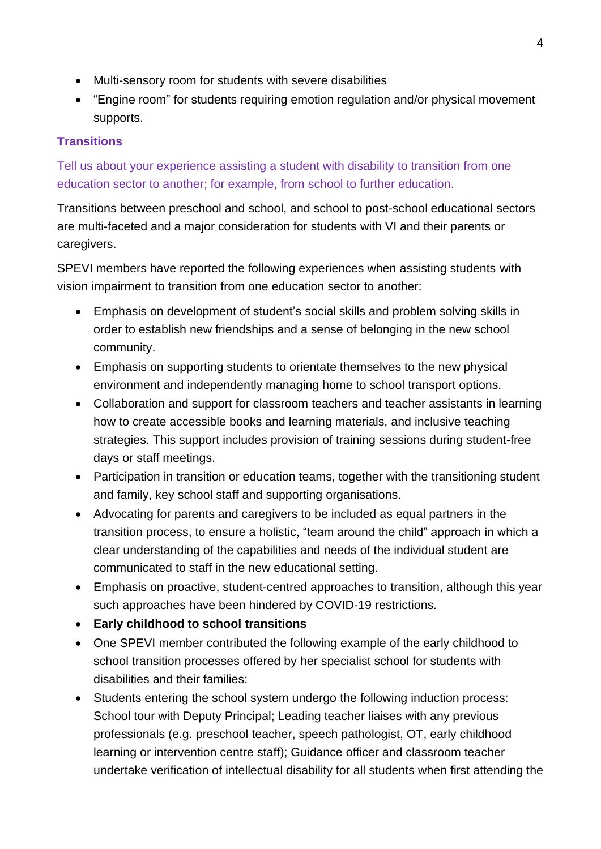- Multi-sensory room for students with severe disabilities
- "Engine room" for students requiring emotion regulation and/or physical movement supports.

# **Transitions**

Tell us about your experience assisting a student with disability to transition from one education sector to another; for example, from school to further education.

Transitions between preschool and school, and school to post-school educational sectors are multi-faceted and a major consideration for students with VI and their parents or caregivers.

SPEVI members have reported the following experiences when assisting students with vision impairment to transition from one education sector to another:

- Emphasis on development of student's social skills and problem solving skills in order to establish new friendships and a sense of belonging in the new school community.
- Emphasis on supporting students to orientate themselves to the new physical environment and independently managing home to school transport options.
- Collaboration and support for classroom teachers and teacher assistants in learning how to create accessible books and learning materials, and inclusive teaching strategies. This support includes provision of training sessions during student-free days or staff meetings.
- Participation in transition or education teams, together with the transitioning student and family, key school staff and supporting organisations.
- Advocating for parents and caregivers to be included as equal partners in the transition process, to ensure a holistic, "team around the child" approach in which a clear understanding of the capabilities and needs of the individual student are communicated to staff in the new educational setting.
- Emphasis on proactive, student-centred approaches to transition, although this year such approaches have been hindered by COVID-19 restrictions.
- **Early childhood to school transitions**
- One SPEVI member contributed the following example of the early childhood to school transition processes offered by her specialist school for students with disabilities and their families:
- Students entering the school system undergo the following induction process: School tour with Deputy Principal; Leading teacher liaises with any previous professionals (e.g. preschool teacher, speech pathologist, OT, early childhood learning or intervention centre staff); Guidance officer and classroom teacher undertake verification of intellectual disability for all students when first attending the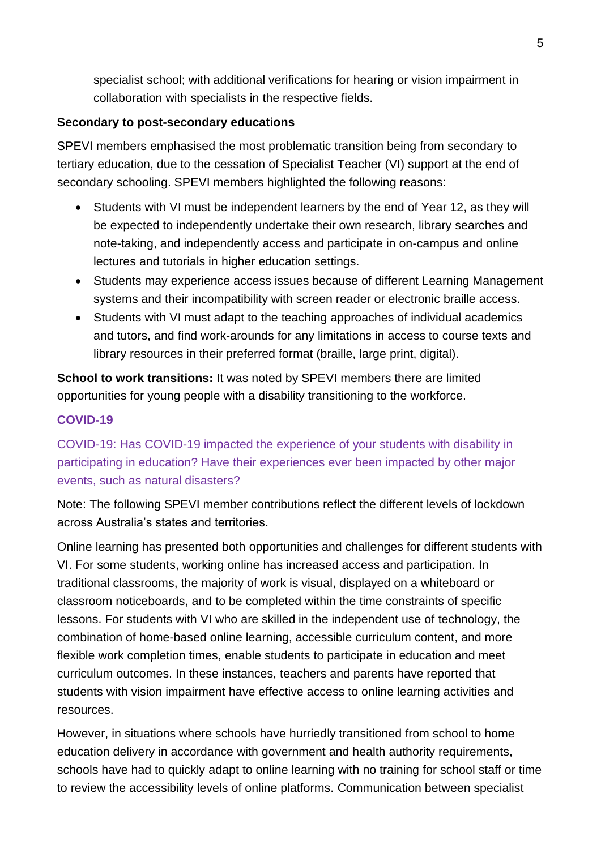specialist school; with additional verifications for hearing or vision impairment in collaboration with specialists in the respective fields.

## **Secondary to post-secondary educations**

SPEVI members emphasised the most problematic transition being from secondary to tertiary education, due to the cessation of Specialist Teacher (VI) support at the end of secondary schooling. SPEVI members highlighted the following reasons:

- Students with VI must be independent learners by the end of Year 12, as they will be expected to independently undertake their own research, library searches and note-taking, and independently access and participate in on-campus and online lectures and tutorials in higher education settings.
- Students may experience access issues because of different Learning Management systems and their incompatibility with screen reader or electronic braille access.
- Students with VI must adapt to the teaching approaches of individual academics and tutors, and find work-arounds for any limitations in access to course texts and library resources in their preferred format (braille, large print, digital).

**School to work transitions:** It was noted by SPEVI members there are limited opportunities for young people with a disability transitioning to the workforce.

# **COVID-19**

COVID-19: Has COVID-19 impacted the experience of your students with disability in participating in education? Have their experiences ever been impacted by other major events, such as natural disasters?

Note: The following SPEVI member contributions reflect the different levels of lockdown across Australia's states and territories.

Online learning has presented both opportunities and challenges for different students with VI. For some students, working online has increased access and participation. In traditional classrooms, the majority of work is visual, displayed on a whiteboard or classroom noticeboards, and to be completed within the time constraints of specific lessons. For students with VI who are skilled in the independent use of technology, the combination of home-based online learning, accessible curriculum content, and more flexible work completion times, enable students to participate in education and meet curriculum outcomes. In these instances, teachers and parents have reported that students with vision impairment have effective access to online learning activities and resources.

However, in situations where schools have hurriedly transitioned from school to home education delivery in accordance with government and health authority requirements, schools have had to quickly adapt to online learning with no training for school staff or time to review the accessibility levels of online platforms. Communication between specialist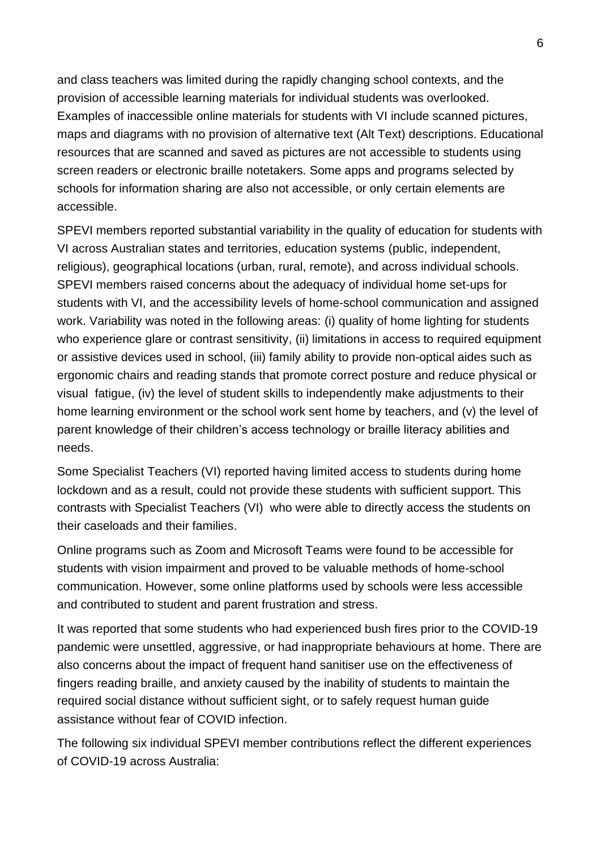and class teachers was limited during the rapidly changing school contexts, and the provision of accessible learning materials for individual students was overlooked. Examples of inaccessible online materials for students with VI include scanned pictures, maps and diagrams with no provision of alternative text (Alt Text) descriptions. Educational resources that are scanned and saved as pictures are not accessible to students using screen readers or electronic braille notetakers. Some apps and programs selected by schools for information sharing are also not accessible, or only certain elements are accessible.

SPEVI members reported substantial variability in the quality of education for students with VI across Australian states and territories, education systems (public, independent, religious), geographical locations (urban, rural, remote), and across individual schools. SPEVI members raised concerns about the adequacy of individual home set-ups for students with VI, and the accessibility levels of home-school communication and assigned work. Variability was noted in the following areas: (i) quality of home lighting for students who experience glare or contrast sensitivity, (ii) limitations in access to required equipment or assistive devices used in school, (iii) family ability to provide non-optical aides such as ergonomic chairs and reading stands that promote correct posture and reduce physical or visual fatigue, (iv) the level of student skills to independently make adjustments to their home learning environment or the school work sent home by teachers, and (v) the level of parent knowledge of their children's access technology or braille literacy abilities and needs.

Some Specialist Teachers (VI) reported having limited access to students during home lockdown and as a result, could not provide these students with sufficient support. This contrasts with Specialist Teachers (VI) who were able to directly access the students on their caseloads and their families.

Online programs such as Zoom and Microsoft Teams were found to be accessible for students with vision impairment and proved to be valuable methods of home-school communication. However, some online platforms used by schools were less accessible and contributed to student and parent frustration and stress.

It was reported that some students who had experienced bush fires prior to the COVID-19 pandemic were unsettled, aggressive, or had inappropriate behaviours at home. There are also concerns about the impact of frequent hand sanitiser use on the effectiveness of fingers reading braille, and anxiety caused by the inability of students to maintain the required social distance without sufficient sight, or to safely request human guide assistance without fear of COVID infection.

The following six individual SPEVI member contributions reflect the different experiences of COVID-19 across Australia: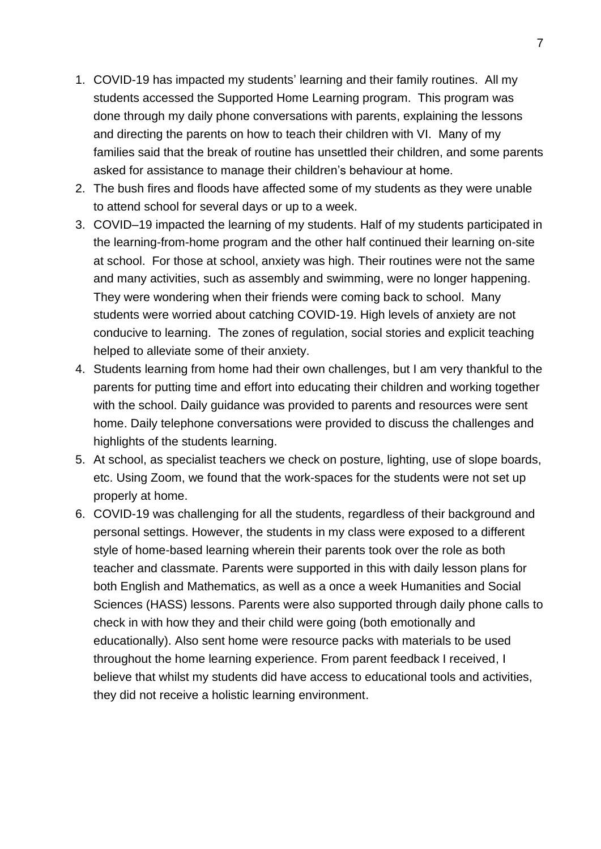- 1. COVID-19 has impacted my students' learning and their family routines. All my students accessed the Supported Home Learning program. This program was done through my daily phone conversations with parents, explaining the lessons and directing the parents on how to teach their children with VI. Many of my families said that the break of routine has unsettled their children, and some parents asked for assistance to manage their children's behaviour at home.
- 2. The bush fires and floods have affected some of my students as they were unable to attend school for several days or up to a week.
- 3. COVID–19 impacted the learning of my students. Half of my students participated in the learning-from-home program and the other half continued their learning on-site at school. For those at school, anxiety was high. Their routines were not the same and many activities, such as assembly and swimming, were no longer happening. They were wondering when their friends were coming back to school. Many students were worried about catching COVID-19. High levels of anxiety are not conducive to learning. The zones of regulation, social stories and explicit teaching helped to alleviate some of their anxiety.
- 4. Students learning from home had their own challenges, but I am very thankful to the parents for putting time and effort into educating their children and working together with the school. Daily guidance was provided to parents and resources were sent home. Daily telephone conversations were provided to discuss the challenges and highlights of the students learning.
- 5. At school, as specialist teachers we check on posture, lighting, use of slope boards, etc. Using Zoom, we found that the work-spaces for the students were not set up properly at home.
- 6. COVID-19 was challenging for all the students, regardless of their background and personal settings. However, the students in my class were exposed to a different style of home-based learning wherein their parents took over the role as both teacher and classmate. Parents were supported in this with daily lesson plans for both English and Mathematics, as well as a once a week Humanities and Social Sciences (HASS) lessons. Parents were also supported through daily phone calls to check in with how they and their child were going (both emotionally and educationally). Also sent home were resource packs with materials to be used throughout the home learning experience. From parent feedback I received, I believe that whilst my students did have access to educational tools and activities, they did not receive a holistic learning environment.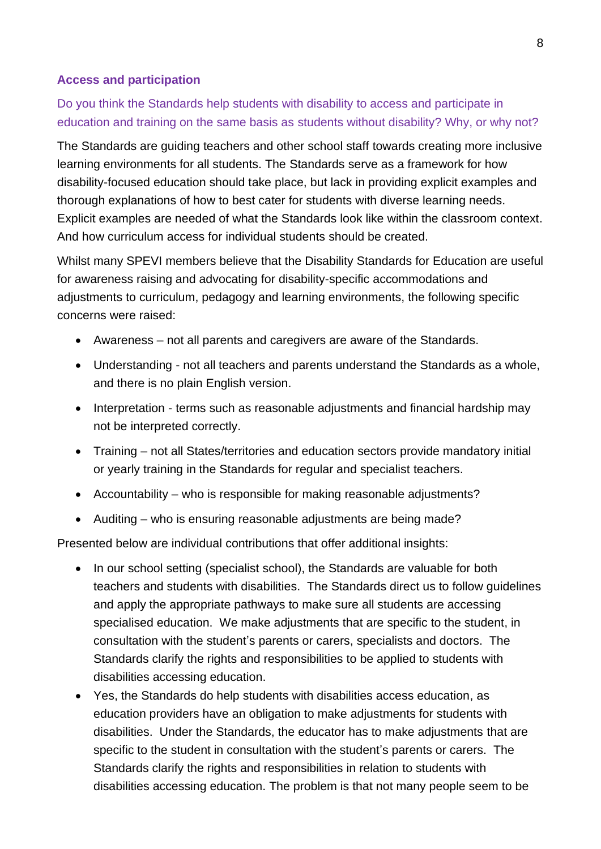#### **Access and participation**

# Do you think the Standards help students with disability to access and participate in education and training on the same basis as students without disability? Why, or why not?

The Standards are guiding teachers and other school staff towards creating more inclusive learning environments for all students. The Standards serve as a framework for how disability-focused education should take place, but lack in providing explicit examples and thorough explanations of how to best cater for students with diverse learning needs. Explicit examples are needed of what the Standards look like within the classroom context. And how curriculum access for individual students should be created.

Whilst many SPEVI members believe that the Disability Standards for Education are useful for awareness raising and advocating for disability-specific accommodations and adjustments to curriculum, pedagogy and learning environments, the following specific concerns were raised:

- Awareness not all parents and caregivers are aware of the Standards.
- Understanding not all teachers and parents understand the Standards as a whole, and there is no plain English version.
- Interpretation terms such as reasonable adjustments and financial hardship may not be interpreted correctly.
- Training not all States/territories and education sectors provide mandatory initial or yearly training in the Standards for regular and specialist teachers.
- Accountability who is responsible for making reasonable adjustments?
- Auditing who is ensuring reasonable adjustments are being made?

Presented below are individual contributions that offer additional insights:

- In our school setting (specialist school), the Standards are valuable for both teachers and students with disabilities. The Standards direct us to follow guidelines and apply the appropriate pathways to make sure all students are accessing specialised education. We make adjustments that are specific to the student, in consultation with the student's parents or carers, specialists and doctors. The Standards clarify the rights and responsibilities to be applied to students with disabilities accessing education.
- Yes, the Standards do help students with disabilities access education, as education providers have an obligation to make adjustments for students with disabilities. Under the Standards, the educator has to make adjustments that are specific to the student in consultation with the student's parents or carers. The Standards clarify the rights and responsibilities in relation to students with disabilities accessing education. The problem is that not many people seem to be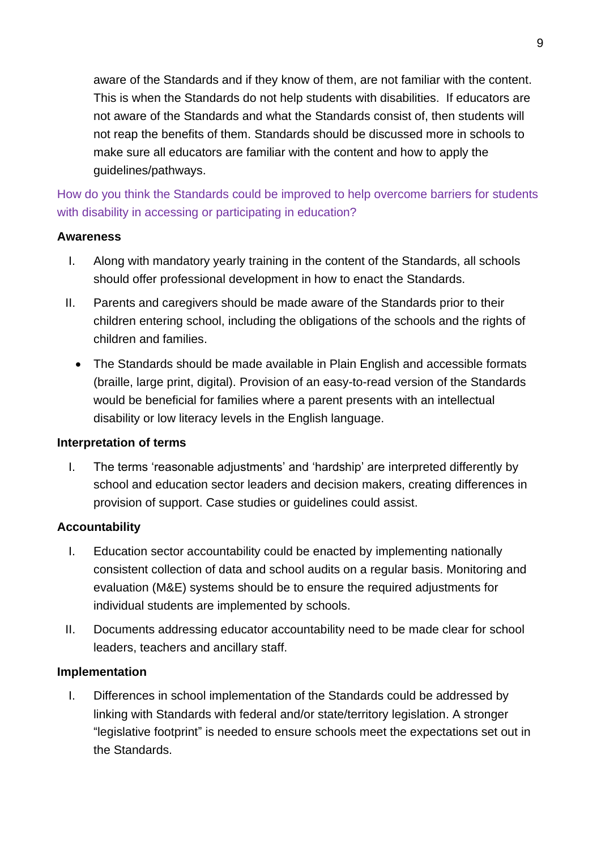aware of the Standards and if they know of them, are not familiar with the content. This is when the Standards do not help students with disabilities. If educators are not aware of the Standards and what the Standards consist of, then students will not reap the benefits of them. Standards should be discussed more in schools to make sure all educators are familiar with the content and how to apply the guidelines/pathways.

How do you think the Standards could be improved to help overcome barriers for students with disability in accessing or participating in education?

### **Awareness**

- I. Along with mandatory yearly training in the content of the Standards, all schools should offer professional development in how to enact the Standards.
- II. Parents and caregivers should be made aware of the Standards prior to their children entering school, including the obligations of the schools and the rights of children and families.
	- The Standards should be made available in Plain English and accessible formats (braille, large print, digital). Provision of an easy-to-read version of the Standards would be beneficial for families where a parent presents with an intellectual disability or low literacy levels in the English language.

### **Interpretation of terms**

I. The terms 'reasonable adjustments' and 'hardship' are interpreted differently by school and education sector leaders and decision makers, creating differences in provision of support. Case studies or guidelines could assist.

### **Accountability**

- I. Education sector accountability could be enacted by implementing nationally consistent collection of data and school audits on a regular basis. Monitoring and evaluation (M&E) systems should be to ensure the required adjustments for individual students are implemented by schools.
- II. Documents addressing educator accountability need to be made clear for school leaders, teachers and ancillary staff.

### **Implementation**

I. Differences in school implementation of the Standards could be addressed by linking with Standards with federal and/or state/territory legislation. A stronger "legislative footprint" is needed to ensure schools meet the expectations set out in the Standards.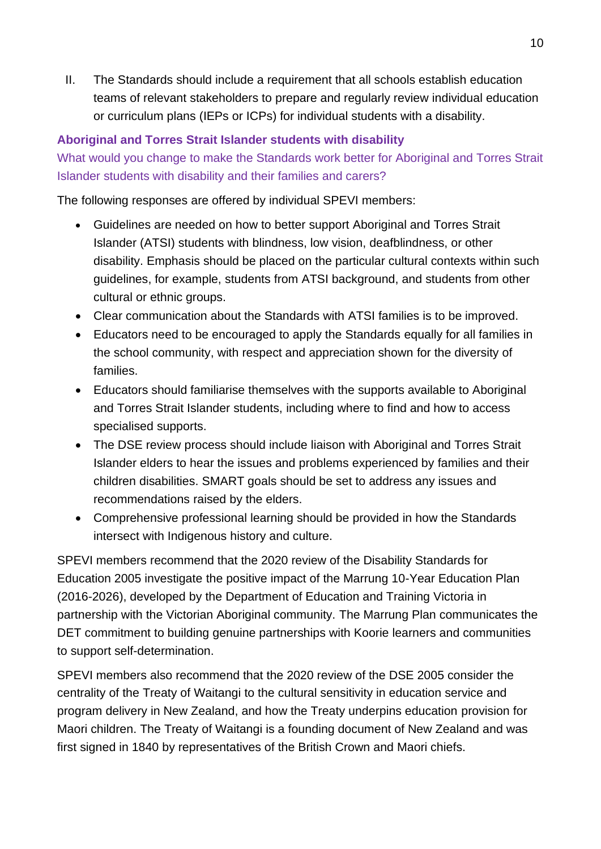II. The Standards should include a requirement that all schools establish education teams of relevant stakeholders to prepare and regularly review individual education or curriculum plans (IEPs or ICPs) for individual students with a disability.

# **Aboriginal and Torres Strait Islander students with disability**

What would you change to make the Standards work better for Aboriginal and Torres Strait Islander students with disability and their families and carers?

The following responses are offered by individual SPEVI members:

- Guidelines are needed on how to better support Aboriginal and Torres Strait Islander (ATSI) students with blindness, low vision, deafblindness, or other disability. Emphasis should be placed on the particular cultural contexts within such guidelines, for example, students from ATSI background, and students from other cultural or ethnic groups.
- Clear communication about the Standards with ATSI families is to be improved.
- Educators need to be encouraged to apply the Standards equally for all families in the school community, with respect and appreciation shown for the diversity of families.
- Educators should familiarise themselves with the supports available to Aboriginal and Torres Strait Islander students, including where to find and how to access specialised supports.
- The DSE review process should include liaison with Aboriginal and Torres Strait Islander elders to hear the issues and problems experienced by families and their children disabilities. SMART goals should be set to address any issues and recommendations raised by the elders.
- Comprehensive professional learning should be provided in how the Standards intersect with Indigenous history and culture.

SPEVI members recommend that the 2020 review of the Disability Standards for Education 2005 investigate the positive impact of the Marrung 10-Year Education Plan (2016-2026), developed by the Department of Education and Training Victoria in partnership with the Victorian Aboriginal community. The Marrung Plan communicates the DET commitment to building genuine partnerships with Koorie learners and communities to support self-determination.

SPEVI members also recommend that the 2020 review of the DSE 2005 consider the centrality of the Treaty of Waitangi to the cultural sensitivity in education service and program delivery in New Zealand, and how the Treaty underpins education provision for Maori children. The Treaty of Waitangi is a founding document of New Zealand and was first signed in 1840 by representatives of the British Crown and Maori chiefs.